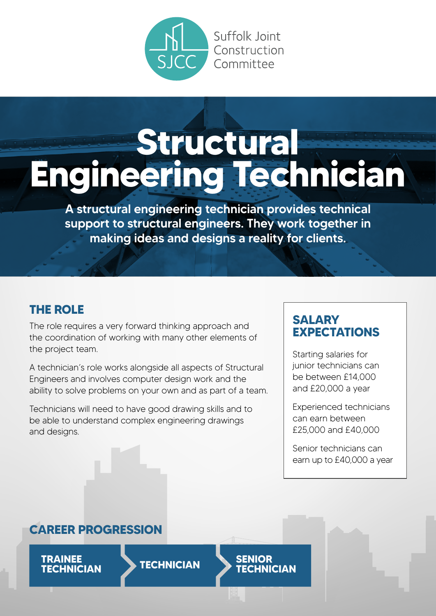

# **Structural Engineering Technician**

A structural engineering technician provides technical support to structural engineers. They work together in making ideas and designs a reality for clients.

### **THE ROLE**

The role requires a very forward thinking approach and the coordination of working with many other elements of the project team.

A technician's role works alongside all aspects of Structural Engineers and involves computer design work and the ability to solve problems on your own and as part of a team.

Technicians will need to have good drawing skills and to be able to understand complex engineering drawings and designs.

### **SALARY EXPECTATIONS**

Starting salaries for junior technicians can be between £14,000 and £20,000 a year

Experienced technicians can earn between £25,000 and £40,000

Senior technicians can earn up to £40,000 a year

**TECHNICIAN**

### **CAREER PROGRESSION**

**TRAINEE TECHNICIAN TECHNICIAN SENIOR**